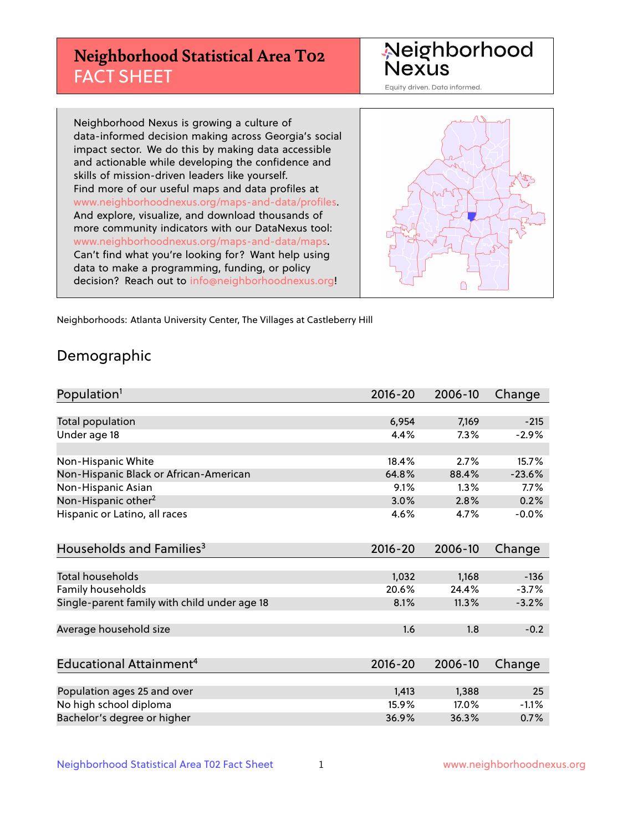# **Neighborhood Statistical Area T02** FACT SHEET



Equity driven. Data informed.

Neighborhood Nexus is growing a culture of data-informed decision making across Georgia's social impact sector. We do this by making data accessible and actionable while developing the confidence and skills of mission-driven leaders like yourself. Find more of our useful maps and data profiles at www.neighborhoodnexus.org/maps-and-data/profiles. And explore, visualize, and download thousands of more community indicators with our DataNexus tool: www.neighborhoodnexus.org/maps-and-data/maps. Can't find what you're looking for? Want help using data to make a programming, funding, or policy decision? Reach out to [info@neighborhoodnexus.org!](mailto:info@neighborhoodnexus.org)



Neighborhoods: Atlanta University Center, The Villages at Castleberry Hill

### Demographic

| Population <sup>1</sup>                      | $2016 - 20$ | 2006-10 | Change   |
|----------------------------------------------|-------------|---------|----------|
|                                              |             |         |          |
| <b>Total population</b>                      | 6,954       | 7,169   | $-215$   |
| Under age 18                                 | 4.4%        | 7.3%    | $-2.9%$  |
|                                              |             |         |          |
| Non-Hispanic White                           | 18.4%       | 2.7%    | 15.7%    |
| Non-Hispanic Black or African-American       | 64.8%       | 88.4%   | $-23.6%$ |
| Non-Hispanic Asian                           | 9.1%        | 1.3%    | $7.7\%$  |
| Non-Hispanic other <sup>2</sup>              | 3.0%        | 2.8%    | 0.2%     |
| Hispanic or Latino, all races                | 4.6%        | 4.7%    | $-0.0%$  |
| Households and Families <sup>3</sup>         | $2016 - 20$ | 2006-10 | Change   |
|                                              |             |         |          |
| Total households                             | 1,032       | 1,168   | $-136$   |
| Family households                            | 20.6%       | 24.4%   | $-3.7%$  |
| Single-parent family with child under age 18 | 8.1%        | 11.3%   | $-3.2%$  |
| Average household size                       | 1.6         | 1.8     | $-0.2$   |
|                                              |             |         |          |
| Educational Attainment <sup>4</sup>          | $2016 - 20$ | 2006-10 | Change   |
|                                              |             |         |          |
| Population ages 25 and over                  | 1,413       | 1,388   | 25       |
| No high school diploma                       | 15.9%       | 17.0%   | $-1.1%$  |
| Bachelor's degree or higher                  | 36.9%       | 36.3%   | 0.7%     |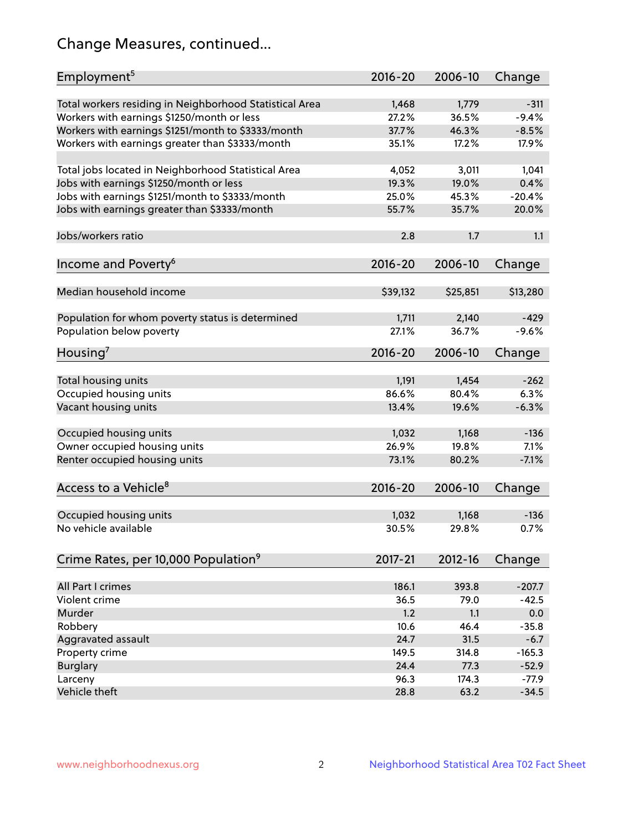# Change Measures, continued...

| Employment <sup>5</sup>                                 | $2016 - 20$    | 2006-10        | Change            |
|---------------------------------------------------------|----------------|----------------|-------------------|
|                                                         |                |                |                   |
| Total workers residing in Neighborhood Statistical Area | 1,468<br>27.2% | 1,779<br>36.5% | $-311$<br>$-9.4%$ |
| Workers with earnings \$1250/month or less              | 37.7%          | 46.3%          | $-8.5%$           |
| Workers with earnings \$1251/month to \$3333/month      | 35.1%          | 17.2%          | 17.9%             |
| Workers with earnings greater than \$3333/month         |                |                |                   |
| Total jobs located in Neighborhood Statistical Area     | 4,052          | 3,011          | 1,041             |
| Jobs with earnings \$1250/month or less                 | 19.3%          | 19.0%          | 0.4%              |
| Jobs with earnings \$1251/month to \$3333/month         | 25.0%          | 45.3%          | $-20.4%$          |
| Jobs with earnings greater than \$3333/month            | 55.7%          | 35.7%          | 20.0%             |
|                                                         |                |                |                   |
| Jobs/workers ratio                                      | 2.8            | 1.7            | 1.1               |
|                                                         |                |                |                   |
| Income and Poverty <sup>6</sup>                         | 2016-20        | 2006-10        | Change            |
|                                                         |                |                |                   |
| Median household income                                 | \$39,132       | \$25,851       | \$13,280          |
|                                                         |                |                |                   |
| Population for whom poverty status is determined        | 1,711          | 2,140          | $-429$            |
| Population below poverty                                | 27.1%          | 36.7%          | $-9.6%$           |
| Housing <sup>7</sup>                                    | $2016 - 20$    | 2006-10        | Change            |
|                                                         |                |                |                   |
| Total housing units                                     | 1,191          | 1,454          | $-262$            |
| Occupied housing units                                  | 86.6%          | 80.4%          | 6.3%              |
| Vacant housing units                                    | 13.4%          | 19.6%          | $-6.3%$           |
|                                                         |                |                |                   |
| Occupied housing units                                  | 1,032          | 1,168          | $-136$            |
| Owner occupied housing units                            | 26.9%          | 19.8%          | 7.1%              |
| Renter occupied housing units                           | 73.1%          | 80.2%          | $-7.1%$           |
|                                                         |                |                |                   |
| Access to a Vehicle <sup>8</sup>                        | $2016 - 20$    | 2006-10        | Change            |
|                                                         |                |                |                   |
| Occupied housing units                                  | 1,032          | 1,168          | $-136$            |
| No vehicle available                                    | 30.5%          | 29.8%          | 0.7%              |
|                                                         |                |                |                   |
| Crime Rates, per 10,000 Population <sup>9</sup>         | 2017-21        | 2012-16        | Change            |
|                                                         |                |                |                   |
| All Part I crimes                                       | 186.1          | 393.8          | $-207.7$          |
| Violent crime                                           | 36.5           | 79.0           | $-42.5$           |
| Murder                                                  | 1.2            | 1.1            | 0.0               |
| Robbery                                                 | 10.6           | 46.4           | $-35.8$           |
| Aggravated assault                                      | 24.7           | 31.5           | $-6.7$            |
| Property crime                                          | 149.5          | 314.8          | $-165.3$          |
| <b>Burglary</b>                                         | 24.4           | 77.3           | $-52.9$           |
| Larceny                                                 | 96.3           | 174.3          | $-77.9$           |
| Vehicle theft                                           | 28.8           | 63.2           | $-34.5$           |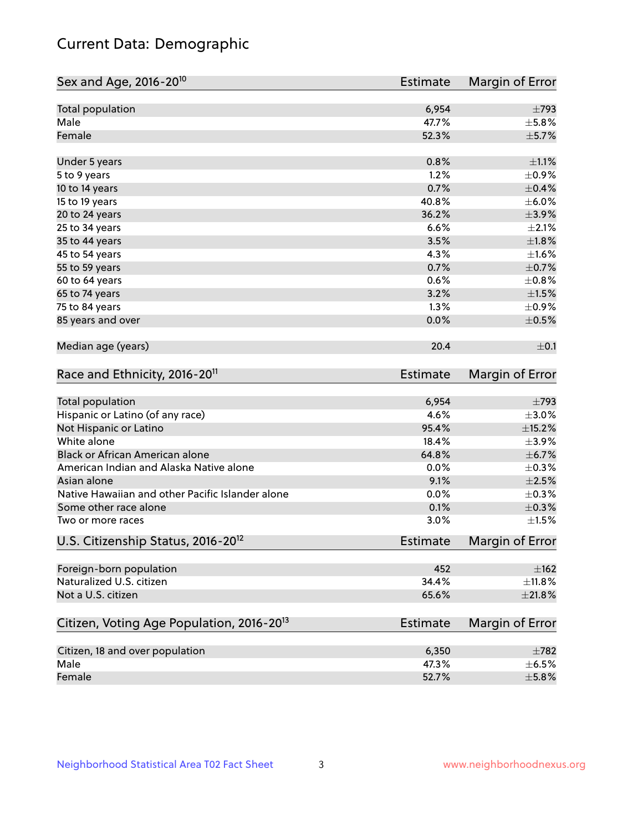# Current Data: Demographic

| Sex and Age, 2016-20 <sup>10</sup>                    | <b>Estimate</b> | Margin of Error        |
|-------------------------------------------------------|-----------------|------------------------|
| Total population                                      | 6,954           | $\pm$ 793              |
| Male                                                  | 47.7%           | $\pm$ 5.8%             |
| Female                                                | 52.3%           | $\pm$ 5.7%             |
| Under 5 years                                         | 0.8%            | $\pm 1.1\%$            |
| 5 to 9 years                                          | 1.2%            | $\pm$ 0.9%             |
| 10 to 14 years                                        | 0.7%            | $\pm$ 0.4%             |
| 15 to 19 years                                        | 40.8%           | $\pm$ 6.0%             |
| 20 to 24 years                                        | 36.2%           | $\pm$ 3.9%             |
| 25 to 34 years                                        | 6.6%            | $\pm 2.1\%$            |
| 35 to 44 years                                        | 3.5%            | ±1.8%                  |
| 45 to 54 years                                        | 4.3%            | $\pm 1.6\%$            |
| 55 to 59 years                                        | 0.7%            | $\pm$ 0.7%             |
| 60 to 64 years                                        | 0.6%            | $\pm$ 0.8%             |
| 65 to 74 years                                        | 3.2%            | $\pm1.5\%$             |
| 75 to 84 years                                        | 1.3%            | $\pm$ 0.9%             |
| 85 years and over                                     | 0.0%            | $\pm$ 0.5%             |
| Median age (years)                                    | 20.4            | $\pm$ 0.1              |
| Race and Ethnicity, 2016-20 <sup>11</sup>             | <b>Estimate</b> | Margin of Error        |
| Total population                                      | 6,954           | $\pm$ 793              |
| Hispanic or Latino (of any race)                      | 4.6%            | $\pm 3.0\%$            |
| Not Hispanic or Latino                                | 95.4%           | ±15.2%                 |
| White alone                                           | 18.4%           | $\pm$ 3.9%             |
| Black or African American alone                       | 64.8%           | ±6.7%                  |
| American Indian and Alaska Native alone               | 0.0%            | $\pm$ 0.3%             |
| Asian alone                                           | 9.1%            | $\pm 2.5\%$            |
| Native Hawaiian and other Pacific Islander alone      | 0.0%            | $\pm$ 0.3%             |
| Some other race alone                                 | 0.1%            | $\pm$ 0.3%             |
| Two or more races                                     | 3.0%            | $\pm1.5\%$             |
| U.S. Citizenship Status, 2016-20 <sup>12</sup>        | <b>Estimate</b> | <b>Margin of Error</b> |
| Foreign-born population                               | 452             | $\pm$ 162              |
| Naturalized U.S. citizen                              | 34.4%           | $\pm$ 11.8%            |
| Not a U.S. citizen                                    | 65.6%           | $\pm 21.8\%$           |
| Citizen, Voting Age Population, 2016-20 <sup>13</sup> | <b>Estimate</b> | Margin of Error        |
| Citizen, 18 and over population                       | 6,350           | $\pm 782$              |
| Male                                                  | 47.3%           | $\pm$ 6.5%             |
| Female                                                | 52.7%           | $\pm$ 5.8%             |
|                                                       |                 |                        |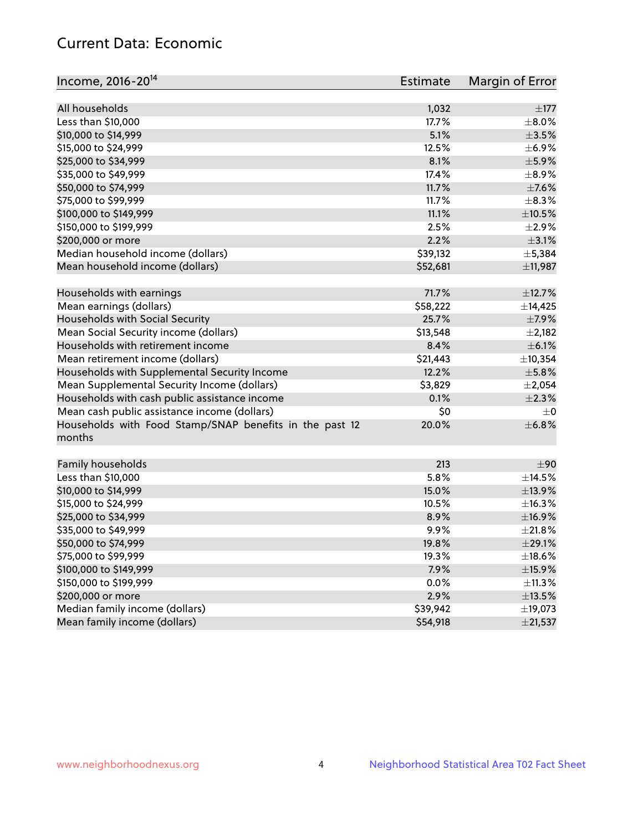# Current Data: Economic

| Income, 2016-20 <sup>14</sup>                           | Estimate     | Margin of Error        |
|---------------------------------------------------------|--------------|------------------------|
|                                                         |              |                        |
| All households                                          | 1,032        | $\pm$ 177              |
| Less than \$10,000                                      | 17.7%        | $\pm$ 8.0%             |
| \$10,000 to \$14,999                                    | 5.1%         | $\pm 3.5\%$            |
| \$15,000 to \$24,999                                    | 12.5%        | $\pm$ 6.9%             |
| \$25,000 to \$34,999                                    | 8.1%         | $\pm$ 5.9%             |
| \$35,000 to \$49,999                                    | 17.4%        | $\pm$ 8.9%             |
| \$50,000 to \$74,999                                    | 11.7%        | $\pm$ 7.6%             |
| \$75,000 to \$99,999                                    | 11.7%        | $\pm$ 8.3%             |
| \$100,000 to \$149,999                                  | 11.1%        | $\pm$ 10.5%            |
| \$150,000 to \$199,999                                  | 2.5%         | $\pm 2.9\%$            |
| \$200,000 or more                                       | 2.2%         | $\pm$ 3.1%             |
| Median household income (dollars)                       | \$39,132     | ±5,384                 |
| Mean household income (dollars)                         | \$52,681     | ±11,987                |
| Households with earnings                                | 71.7%        | ±12.7%                 |
| Mean earnings (dollars)                                 | \$58,222     | ±14,425                |
| Households with Social Security                         | 25.7%        | $\pm$ 7.9%             |
| Mean Social Security income (dollars)                   | \$13,548     | $\pm 2,182$            |
| Households with retirement income                       | 8.4%         | $\pm$ 6.1%             |
| Mean retirement income (dollars)                        | \$21,443     | ±10,354                |
| Households with Supplemental Security Income            | 12.2%        | $\pm$ 5.8%             |
| Mean Supplemental Security Income (dollars)             | \$3,829      | $\pm 2,054$            |
| Households with cash public assistance income           | 0.1%         | $\pm 2.3\%$            |
| Mean cash public assistance income (dollars)            | \$0          | $\pm 0$                |
| Households with Food Stamp/SNAP benefits in the past 12 | 20.0%        | ±6.8%                  |
| months                                                  |              |                        |
| Family households                                       | 213          | ±90                    |
| Less than \$10,000                                      | 5.8%         | $\pm$ 14.5%            |
| \$10,000 to \$14,999                                    | 15.0%        | ±13.9%                 |
| \$15,000 to \$24,999                                    | 10.5%        | ±16.3%                 |
| \$25,000 to \$34,999                                    | 8.9%         | ±16.9%                 |
| \$35,000 to \$49,999                                    | 9.9%         | ±21.8%                 |
| \$50,000 to \$74,999                                    | 19.8%        | ±29.1%                 |
| \$75,000 to \$99,999                                    | 19.3%        | ±18.6%                 |
| \$100,000 to \$149,999                                  | 7.9%         | $\pm$ 15.9%            |
| \$150,000 to \$199,999                                  |              |                        |
| \$200,000 or more                                       | 0.0%<br>2.9% | ±11.3%                 |
| Median family income (dollars)                          |              | $\pm$ 13.5%<br>±19,073 |
| Mean family income (dollars)                            | \$39,942     |                        |
|                                                         | \$54,918     | ±21,537                |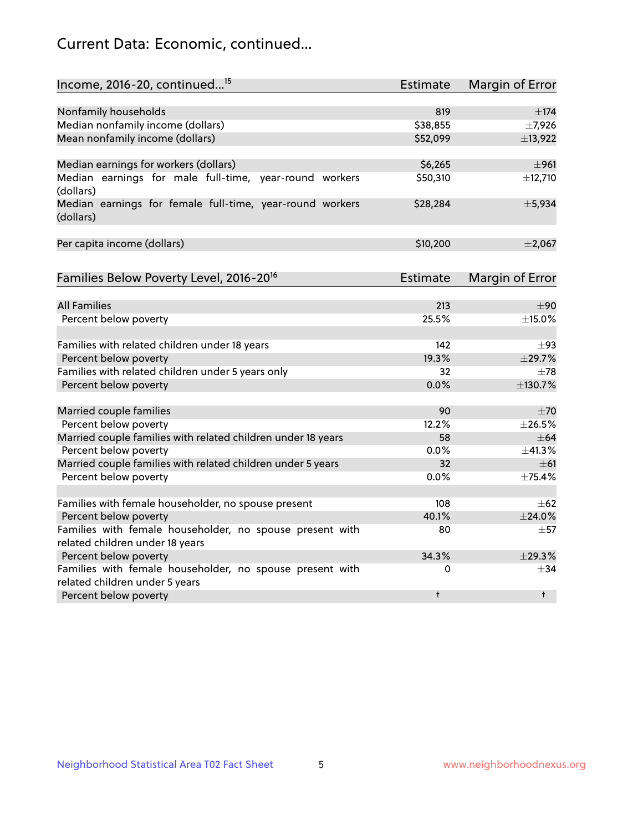# Current Data: Economic, continued...

| Income, 2016-20, continued <sup>15</sup>                              | <b>Estimate</b> | <b>Margin of Error</b> |
|-----------------------------------------------------------------------|-----------------|------------------------|
|                                                                       |                 |                        |
| Nonfamily households                                                  | 819             | $\pm$ 174              |
| Median nonfamily income (dollars)                                     | \$38,855        | $\pm$ 7,926            |
| Mean nonfamily income (dollars)                                       | \$52,099        | ±13,922                |
| Median earnings for workers (dollars)                                 | \$6,265         | ±961                   |
| Median earnings for male full-time, year-round workers<br>(dollars)   | \$50,310        | ±12,710                |
| Median earnings for female full-time, year-round workers<br>(dollars) | \$28,284        | ±5,934                 |
| Per capita income (dollars)                                           | \$10,200        | $\pm 2,067$            |
| Families Below Poverty Level, 2016-20 <sup>16</sup>                   | <b>Estimate</b> | <b>Margin of Error</b> |
|                                                                       |                 |                        |
| <b>All Families</b>                                                   | 213             | ±90                    |
| Percent below poverty                                                 | 25.5%           | $\pm$ 15.0%            |
| Families with related children under 18 years                         | 142             | $\pm$ 93               |
| Percent below poverty                                                 | 19.3%           | ±29.7%                 |
| Families with related children under 5 years only                     | 32              | $\pm 78$               |
| Percent below poverty                                                 | 0.0%            | ±130.7%                |
| Married couple families                                               | 90              | ±70                    |
| Percent below poverty                                                 | 12.2%           | ±26.5%                 |
| Married couple families with related children under 18 years          | 58              | $\pm$ 64               |
| Percent below poverty                                                 | $0.0\%$         | ±41.3%                 |
| Married couple families with related children under 5 years           | 32              | $\pm 61$               |
| Percent below poverty                                                 | $0.0\%$         | ±75.4%                 |
| Families with female householder, no spouse present                   | 108             | $\pm 62$               |
| Percent below poverty                                                 | 40.1%           | $±$ 24.0%              |
| Families with female householder, no spouse present with              | 80              | $\pm$ 57               |
| related children under 18 years                                       |                 |                        |
| Percent below poverty                                                 | 34.3%           | ±29.3%                 |
| Families with female householder, no spouse present with              | 0               | $\pm$ 34               |
| related children under 5 years                                        |                 |                        |
| Percent below poverty                                                 | $\ddagger$      | $\ddagger$             |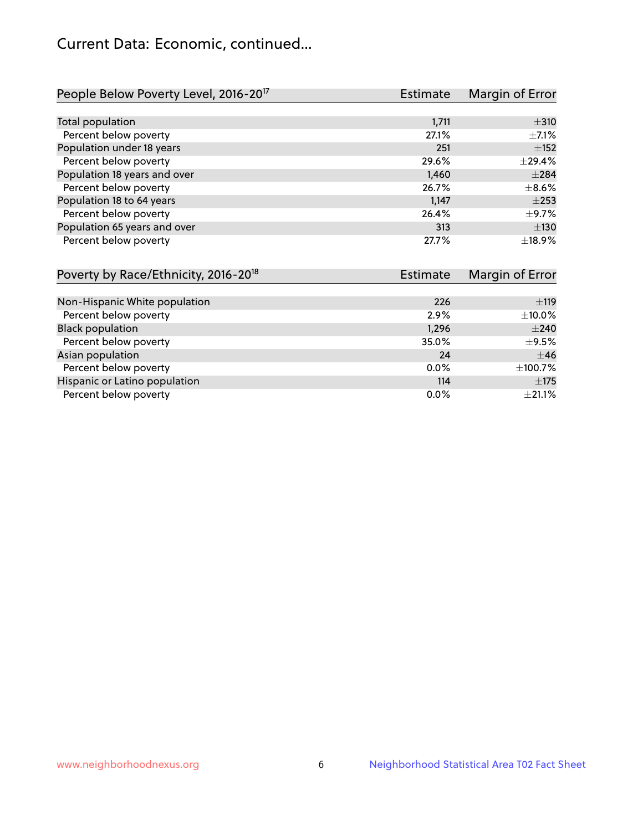# Current Data: Economic, continued...

| People Below Poverty Level, 2016-20 <sup>17</sup> | <b>Estimate</b> | Margin of Error |
|---------------------------------------------------|-----------------|-----------------|
|                                                   |                 |                 |
| Total population                                  | 1,711           | $\pm$ 310       |
| Percent below poverty                             | 27.1%           | $\pm$ 7.1%      |
| Population under 18 years                         | 251             | $\pm$ 152       |
| Percent below poverty                             | 29.6%           | ±29.4%          |
| Population 18 years and over                      | 1,460           | $\pm 284$       |
| Percent below poverty                             | 26.7%           | $\pm$ 8.6%      |
| Population 18 to 64 years                         | 1,147           | $+253$          |
| Percent below poverty                             | 26.4%           | $\pm$ 9.7%      |
| Population 65 years and over                      | 313             | $\pm$ 130       |
| Percent below poverty                             | 27.7%           | ±18.9%          |

| Poverty by Race/Ethnicity, 2016-20 <sup>18</sup> | <b>Estimate</b> | Margin of Error |
|--------------------------------------------------|-----------------|-----------------|
|                                                  |                 |                 |
| Non-Hispanic White population                    | 226             | ±119            |
| Percent below poverty                            | 2.9%            | $\pm$ 10.0%     |
| <b>Black population</b>                          | 1,296           | $\pm 240$       |
| Percent below poverty                            | 35.0%           | $\pm$ 9.5%      |
| Asian population                                 | 24              | $\pm$ 46        |
| Percent below poverty                            | $0.0\%$         | ±100.7%         |
| Hispanic or Latino population                    | 114             | $\pm$ 175       |
| Percent below poverty                            | $0.0\%$         | $\pm 21.1\%$    |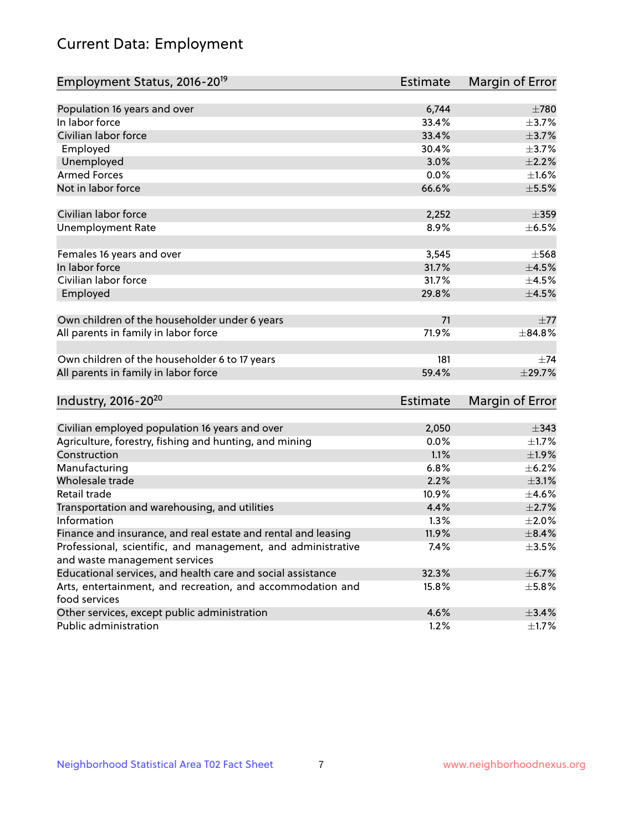# Current Data: Employment

| Employment Status, 2016-20 <sup>19</sup>                                    | Estimate        | Margin of Error |
|-----------------------------------------------------------------------------|-----------------|-----------------|
|                                                                             |                 |                 |
| Population 16 years and over                                                | 6,744           | $\pm 780$       |
| In labor force                                                              | 33.4%           | $\pm$ 3.7%      |
| Civilian labor force                                                        | 33.4%           | $\pm$ 3.7%      |
| Employed                                                                    | 30.4%           | $\pm$ 3.7%      |
| Unemployed                                                                  | 3.0%            | $\pm 2.2\%$     |
| <b>Armed Forces</b>                                                         | 0.0%            | $\pm 1.6\%$     |
| Not in labor force                                                          | 66.6%           | $\pm$ 5.5%      |
| Civilian labor force                                                        | 2,252           | $\pm$ 359       |
| <b>Unemployment Rate</b>                                                    | 8.9%            | $\pm$ 6.5%      |
| Females 16 years and over                                                   | 3,545           | $\pm$ 568       |
| In labor force                                                              | 31.7%           | $\pm 4.5\%$     |
| Civilian labor force                                                        | 31.7%           | $\pm$ 4.5%      |
|                                                                             | 29.8%           | $\pm 4.5\%$     |
| Employed                                                                    |                 |                 |
| Own children of the householder under 6 years                               | 71              | $\pm 77$        |
| All parents in family in labor force                                        | 71.9%           | $\pm 84.8\%$    |
| Own children of the householder 6 to 17 years                               | 181             | $\pm$ 74        |
| All parents in family in labor force                                        | 59.4%           | ±29.7%          |
| Industry, 2016-20 <sup>20</sup>                                             | <b>Estimate</b> | Margin of Error |
|                                                                             |                 |                 |
| Civilian employed population 16 years and over                              | 2,050           | $\pm$ 343       |
| Agriculture, forestry, fishing and hunting, and mining                      | 0.0%            | $\pm 1.7\%$     |
| Construction                                                                | 1.1%            | $\pm$ 1.9%      |
| Manufacturing                                                               | 6.8%            | $\pm$ 6.2%      |
| Wholesale trade                                                             | 2.2%            | $\pm$ 3.1%      |
| Retail trade                                                                | 10.9%           | $\pm$ 4.6%      |
| Transportation and warehousing, and utilities                               | 4.4%            | $\pm 2.7\%$     |
| Information                                                                 | 1.3%            | $\pm 2.0\%$     |
| Finance and insurance, and real estate and rental and leasing               | 11.9%           | $\pm$ 8.4%      |
| Professional, scientific, and management, and administrative                | 7.4%            | $\pm$ 3.5%      |
| and waste management services                                               |                 |                 |
| Educational services, and health care and social assistance                 | 32.3%           | $\pm$ 6.7%      |
| Arts, entertainment, and recreation, and accommodation and<br>food services | 15.8%           | $\pm$ 5.8%      |
| Other services, except public administration                                | 4.6%            | ±3.4%           |
| Public administration                                                       | 1.2%            | $\pm 1.7\%$     |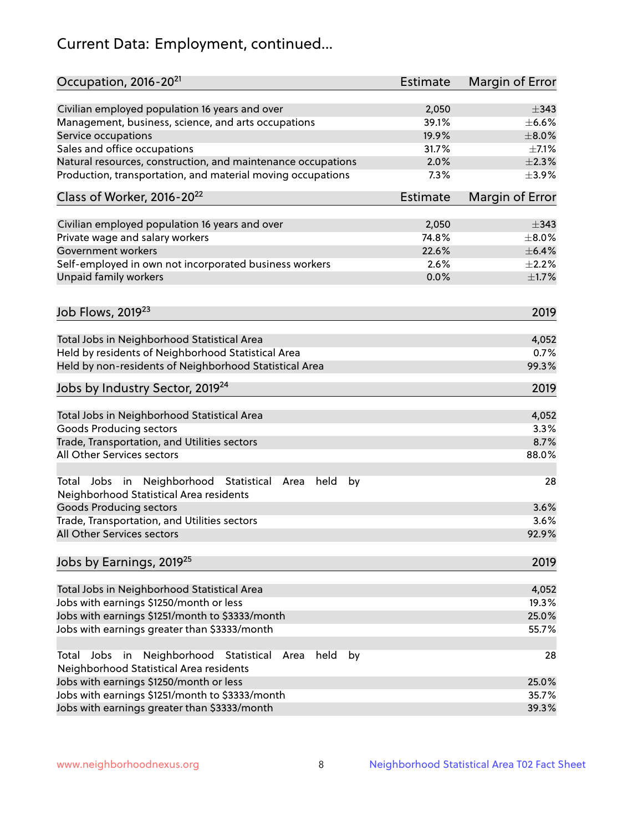# Current Data: Employment, continued...

| Occupation, 2016-20 <sup>21</sup>                                                                                | <b>Estimate</b> | Margin of Error |
|------------------------------------------------------------------------------------------------------------------|-----------------|-----------------|
| Civilian employed population 16 years and over                                                                   | 2,050           | $\pm$ 343       |
| Management, business, science, and arts occupations                                                              | 39.1%           | $\pm$ 6.6%      |
| Service occupations                                                                                              | 19.9%           | $\pm 8.0\%$     |
| Sales and office occupations                                                                                     | 31.7%           | $\pm$ 7.1%      |
| Natural resources, construction, and maintenance occupations                                                     | 2.0%            | $\pm 2.3\%$     |
| Production, transportation, and material moving occupations                                                      | 7.3%            | $\pm$ 3.9%      |
| Class of Worker, 2016-20 <sup>22</sup>                                                                           | <b>Estimate</b> | Margin of Error |
| Civilian employed population 16 years and over                                                                   | 2,050           | $\pm$ 343       |
| Private wage and salary workers                                                                                  | 74.8%           | $\pm 8.0\%$     |
| Government workers                                                                                               | 22.6%           | ±6.4%           |
| Self-employed in own not incorporated business workers                                                           | 2.6%            | $\pm 2.2\%$     |
| Unpaid family workers                                                                                            | 0.0%            | $\pm1.7\%$      |
| Job Flows, 2019 <sup>23</sup>                                                                                    |                 | 2019            |
|                                                                                                                  |                 |                 |
| Total Jobs in Neighborhood Statistical Area                                                                      |                 | 4,052           |
| Held by residents of Neighborhood Statistical Area                                                               |                 | 0.7%            |
| Held by non-residents of Neighborhood Statistical Area                                                           |                 | 99.3%           |
| Jobs by Industry Sector, 2019 <sup>24</sup>                                                                      |                 | 2019            |
| Total Jobs in Neighborhood Statistical Area                                                                      |                 | 4,052           |
| <b>Goods Producing sectors</b>                                                                                   |                 | 3.3%            |
| Trade, Transportation, and Utilities sectors                                                                     |                 | 8.7%            |
| All Other Services sectors                                                                                       |                 | 88.0%           |
| Total Jobs in Neighborhood Statistical<br>held<br>by<br>Area<br>Neighborhood Statistical Area residents          |                 | 28              |
| <b>Goods Producing sectors</b>                                                                                   |                 | 3.6%            |
| Trade, Transportation, and Utilities sectors                                                                     |                 | 3.6%            |
| All Other Services sectors                                                                                       |                 | 92.9%           |
| Jobs by Earnings, 2019 <sup>25</sup>                                                                             |                 | 2019            |
| Total Jobs in Neighborhood Statistical Area                                                                      |                 | 4,052           |
| Jobs with earnings \$1250/month or less                                                                          |                 | 19.3%           |
| Jobs with earnings \$1251/month to \$3333/month                                                                  |                 | 25.0%           |
| Jobs with earnings greater than \$3333/month                                                                     |                 | 55.7%           |
| Neighborhood Statistical<br>Jobs<br>in<br>held<br>by<br>Total<br>Area<br>Neighborhood Statistical Area residents |                 | 28              |
| Jobs with earnings \$1250/month or less                                                                          |                 | 25.0%           |
| Jobs with earnings \$1251/month to \$3333/month                                                                  |                 | 35.7%           |
| Jobs with earnings greater than \$3333/month                                                                     |                 | 39.3%           |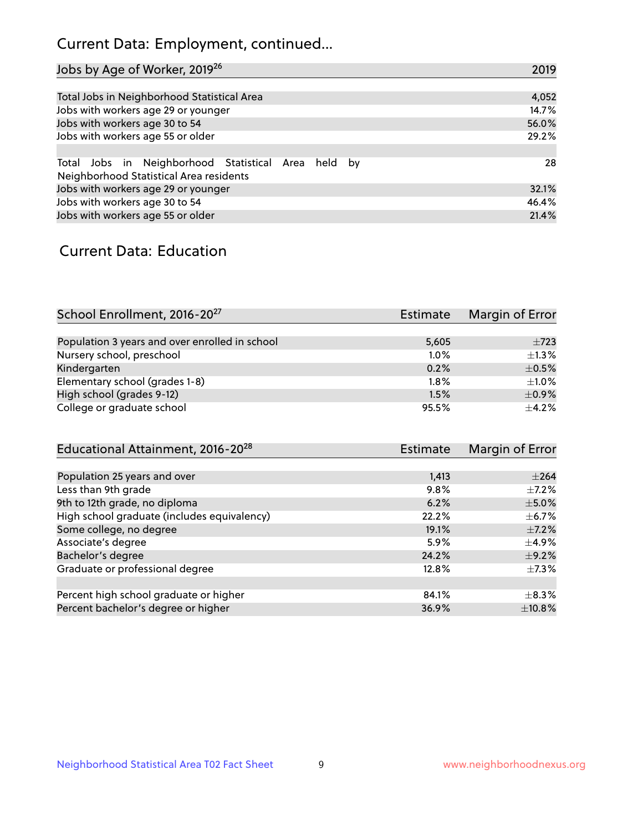# Current Data: Employment, continued...

| Jobs by Age of Worker, 2019 <sup>26</sup>                                                      | 2019  |
|------------------------------------------------------------------------------------------------|-------|
|                                                                                                |       |
| Total Jobs in Neighborhood Statistical Area                                                    | 4,052 |
| Jobs with workers age 29 or younger                                                            | 14.7% |
| Jobs with workers age 30 to 54                                                                 | 56.0% |
| Jobs with workers age 55 or older                                                              | 29.2% |
|                                                                                                |       |
| Total Jobs in Neighborhood Statistical Area held by<br>Neighborhood Statistical Area residents | 28    |
| Jobs with workers age 29 or younger                                                            | 32.1% |
| Jobs with workers age 30 to 54                                                                 | 46.4% |
| Jobs with workers age 55 or older                                                              | 21.4% |

### Current Data: Education

| School Enrollment, 2016-20 <sup>27</sup>       | Estimate | Margin of Error |
|------------------------------------------------|----------|-----------------|
|                                                |          |                 |
| Population 3 years and over enrolled in school | 5,605    | $\pm 723$       |
| Nursery school, preschool                      | 1.0%     | $+1.3%$         |
| Kindergarten                                   | 0.2%     | $\pm$ 0.5%      |
| Elementary school (grades 1-8)                 | $1.8\%$  | $+1.0%$         |
| High school (grades 9-12)                      | 1.5%     | $\pm$ 0.9%      |
| College or graduate school                     | 95.5%    | $+4.2%$         |

| Educational Attainment, 2016-20 <sup>28</sup> | <b>Estimate</b> | Margin of Error |
|-----------------------------------------------|-----------------|-----------------|
|                                               |                 |                 |
| Population 25 years and over                  | 1,413           | $\pm 264$       |
| Less than 9th grade                           | 9.8%            | $\pm$ 7.2%      |
| 9th to 12th grade, no diploma                 | 6.2%            | $\pm$ 5.0%      |
| High school graduate (includes equivalency)   | 22.2%           | $\pm$ 6.7%      |
| Some college, no degree                       | 19.1%           | $\pm$ 7.2%      |
| Associate's degree                            | 5.9%            | $\pm$ 4.9%      |
| Bachelor's degree                             | 24.2%           | $\pm$ 9.2%      |
| Graduate or professional degree               | 12.8%           | $\pm$ 7.3%      |
|                                               |                 |                 |
| Percent high school graduate or higher        | 84.1%           | $+8.3%$         |
| Percent bachelor's degree or higher           | 36.9%           | $\pm$ 10.8%     |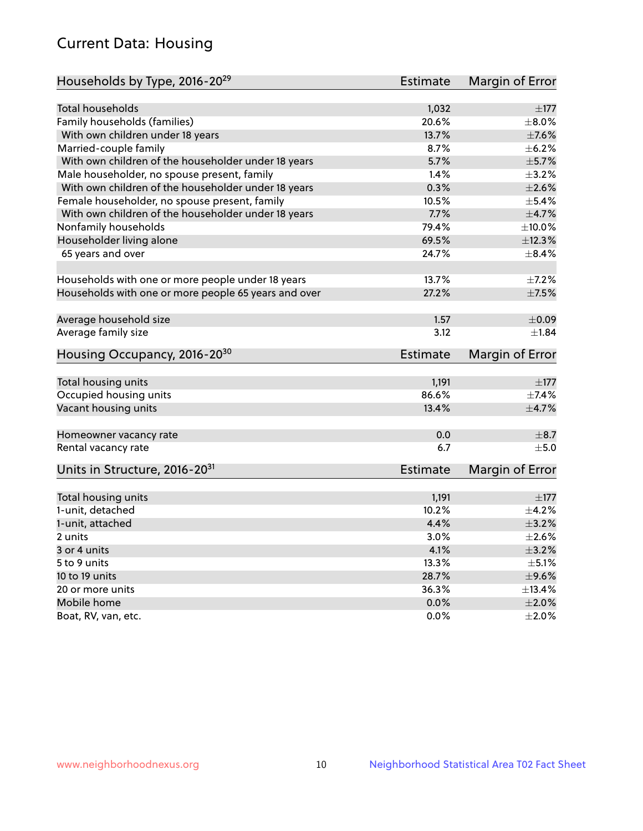# Current Data: Housing

| Households by Type, 2016-20 <sup>29</sup>            | <b>Estimate</b> | Margin of Error |
|------------------------------------------------------|-----------------|-----------------|
|                                                      |                 |                 |
| Total households                                     | 1,032           | $\pm$ 177       |
| Family households (families)                         | 20.6%           | $\pm$ 8.0%      |
| With own children under 18 years                     | 13.7%           | $\pm$ 7.6%      |
| Married-couple family                                | 8.7%            | $\pm$ 6.2%      |
| With own children of the householder under 18 years  | 5.7%            | $\pm$ 5.7%      |
| Male householder, no spouse present, family          | 1.4%            | $\pm$ 3.2%      |
| With own children of the householder under 18 years  | 0.3%            | $\pm 2.6\%$     |
| Female householder, no spouse present, family        | 10.5%           | $\pm$ 5.4%      |
| With own children of the householder under 18 years  | 7.7%            | $\pm$ 4.7%      |
| Nonfamily households                                 | 79.4%           | $\pm 10.0\%$    |
| Householder living alone                             | 69.5%           | ±12.3%          |
| 65 years and over                                    | 24.7%           | $\pm$ 8.4%      |
|                                                      |                 |                 |
| Households with one or more people under 18 years    | 13.7%           | $\pm$ 7.2%      |
| Households with one or more people 65 years and over | 27.2%           | $\pm$ 7.5%      |
| Average household size                               | 1.57            | $\pm 0.09$      |
|                                                      | 3.12            |                 |
| Average family size                                  |                 | ±1.84           |
| Housing Occupancy, 2016-20 <sup>30</sup>             | <b>Estimate</b> | Margin of Error |
| Total housing units                                  | 1,191           | $\pm$ 177       |
| Occupied housing units                               | 86.6%           | $\pm$ 7.4%      |
| Vacant housing units                                 | 13.4%           | $\pm$ 4.7%      |
|                                                      |                 |                 |
| Homeowner vacancy rate                               | 0.0             | $\pm$ 8.7       |
| Rental vacancy rate                                  | 6.7             | ±5.0            |
| Units in Structure, 2016-20 <sup>31</sup>            | Estimate        | Margin of Error |
|                                                      |                 |                 |
| Total housing units                                  | 1,191           | $\pm$ 177       |
| 1-unit, detached                                     | 10.2%           | $\pm$ 4.2%      |
| 1-unit, attached                                     | 4.4%            | $\pm$ 3.2%      |
| 2 units                                              | 3.0%            | $\pm 2.6\%$     |
| 3 or 4 units                                         | 4.1%            | $\pm$ 3.2%      |
| 5 to 9 units                                         | 13.3%           | $\pm$ 5.1%      |
| 10 to 19 units                                       | 28.7%           | $\pm$ 9.6%      |
| 20 or more units                                     | 36.3%           | ±13.4%          |
| Mobile home                                          | 0.0%            | $\pm 2.0\%$     |
| Boat, RV, van, etc.                                  | $0.0\%$         | $\pm 2.0\%$     |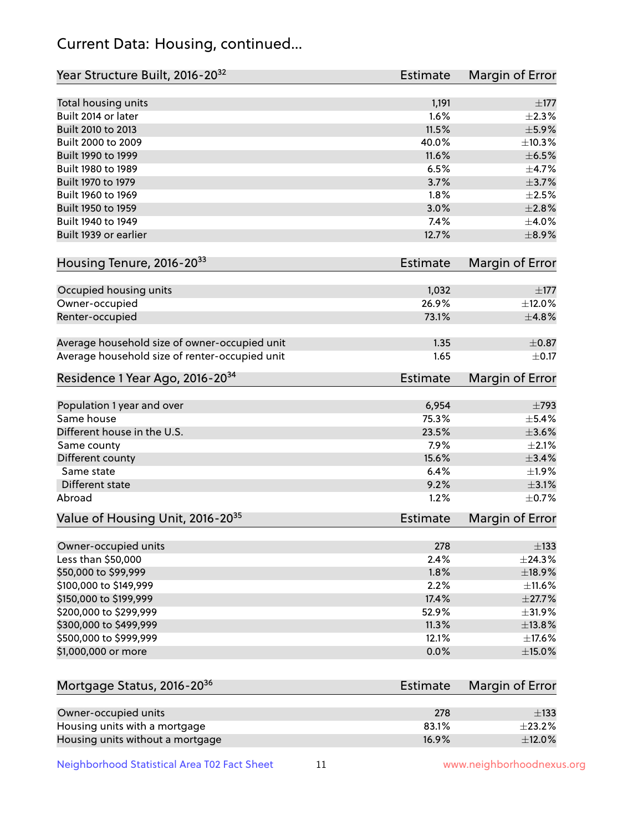# Current Data: Housing, continued...

| Year Structure Built, 2016-20 <sup>32</sup>    | <b>Estimate</b> | Margin of Error |
|------------------------------------------------|-----------------|-----------------|
| Total housing units                            | 1,191           | $\pm$ 177       |
| Built 2014 or later                            | 1.6%            | $\pm 2.3\%$     |
| Built 2010 to 2013                             | 11.5%           | $\pm$ 5.9%      |
| Built 2000 to 2009                             | 40.0%           | ±10.3%          |
| Built 1990 to 1999                             | 11.6%           | $\pm$ 6.5%      |
| Built 1980 to 1989                             | 6.5%            | $\pm$ 4.7%      |
| Built 1970 to 1979                             | 3.7%            | $\pm$ 3.7%      |
| Built 1960 to 1969                             | 1.8%            | $\pm 2.5\%$     |
| Built 1950 to 1959                             | 3.0%            | $\pm 2.8\%$     |
| Built 1940 to 1949                             | 7.4%            | $\pm$ 4.0%      |
| Built 1939 or earlier                          | 12.7%           | $\pm$ 8.9%      |
| Housing Tenure, 2016-2033                      | <b>Estimate</b> | Margin of Error |
| Occupied housing units                         | 1,032           | $\pm$ 177       |
| Owner-occupied                                 | 26.9%           | ±12.0%          |
| Renter-occupied                                | 73.1%           | ±4.8%           |
| Average household size of owner-occupied unit  | 1.35            | $\pm$ 0.87      |
| Average household size of renter-occupied unit | 1.65            | $\pm$ 0.17      |
| Residence 1 Year Ago, 2016-20 <sup>34</sup>    | <b>Estimate</b> | Margin of Error |
| Population 1 year and over                     | 6,954           | $\pm 793$       |
| Same house                                     | 75.3%           | $\pm$ 5.4%      |
| Different house in the U.S.                    | 23.5%           | $\pm 3.6\%$     |
| Same county                                    | 7.9%            | $\pm 2.1\%$     |
| Different county                               | 15.6%           | $\pm$ 3.4%      |
| Same state                                     | 6.4%            | ±1.9%           |
| Different state                                | 9.2%            | $\pm$ 3.1%      |
| Abroad                                         | 1.2%            | $\pm$ 0.7%      |
| Value of Housing Unit, 2016-20 <sup>35</sup>   | <b>Estimate</b> | Margin of Error |
| Owner-occupied units                           | 278             | $\pm$ 133       |
| Less than \$50,000                             | 2.4%            | ±24.3%          |
| \$50,000 to \$99,999                           | 1.8%            | ±18.9%          |
| \$100,000 to \$149,999                         | 2.2%            | ±11.6%          |
| \$150,000 to \$199,999                         | 17.4%           | $\pm$ 27.7%     |
| \$200,000 to \$299,999                         | 52.9%           | ±31.9%          |
| \$300,000 to \$499,999                         | 11.3%           | ±13.8%          |
| \$500,000 to \$999,999                         | 12.1%           | $\pm$ 17.6%     |
| \$1,000,000 or more                            | 0.0%            | $\pm$ 15.0%     |
| Mortgage Status, 2016-20 <sup>36</sup>         | <b>Estimate</b> | Margin of Error |
| Owner-occupied units                           | 278             | $\pm$ 133       |
| Housing units with a mortgage                  | 83.1%           | $\pm 23.2\%$    |
| Housing units without a mortgage               | 16.9%           | $\pm$ 12.0%     |

Neighborhood Statistical Area T02 Fact Sheet 11 11 www.neighborhoodnexus.org

Housing units without a mortgage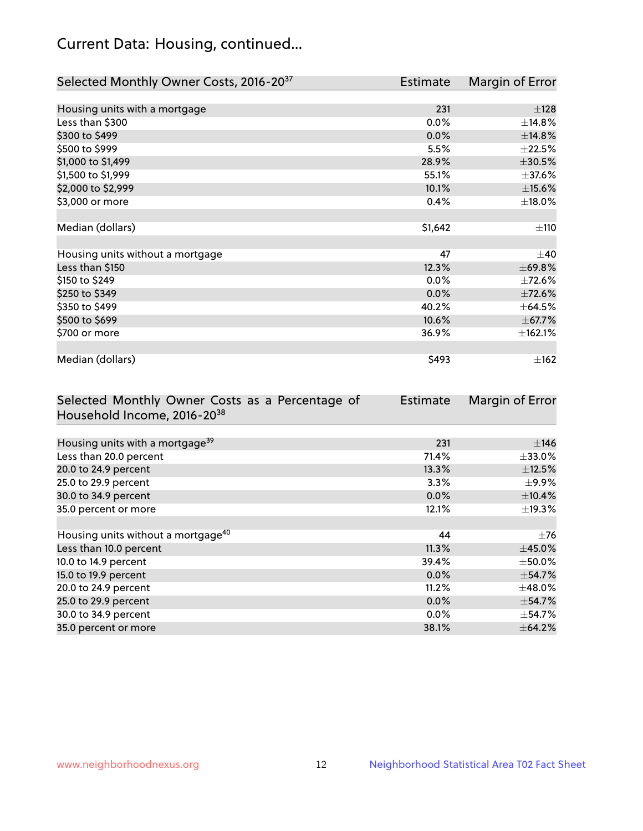# Current Data: Housing, continued...

| Selected Monthly Owner Costs, 2016-20 <sup>37</sup> | <b>Estimate</b> | Margin of Error |
|-----------------------------------------------------|-----------------|-----------------|
|                                                     |                 |                 |
| Housing units with a mortgage                       | 231             | ±128            |
| Less than \$300                                     | 0.0%            | ±14.8%          |
| \$300 to \$499                                      | 0.0%            | ±14.8%          |
| \$500 to \$999                                      | 5.5%            | ±22.5%          |
| \$1,000 to \$1,499                                  | 28.9%           | $\pm 30.5\%$    |
| \$1,500 to \$1,999                                  | 55.1%           | $\pm$ 37.6%     |
| \$2,000 to \$2,999                                  | 10.1%           | $\pm$ 15.6%     |
| \$3,000 or more                                     | 0.4%            | ±18.0%          |
|                                                     |                 |                 |
| Median (dollars)                                    | \$1,642         | ±110            |
|                                                     |                 |                 |
| Housing units without a mortgage                    | 47              | $\pm 40$        |
| Less than \$150                                     | 12.3%           | ±69.8%          |
| \$150 to \$249                                      | $0.0\%$         | ±72.6%          |
| \$250 to \$349                                      | 0.0%            | ±72.6%          |
| \$350 to \$499                                      | 40.2%           | $\pm$ 64.5%     |
| \$500 to \$699                                      | 10.6%           | ±67.7%          |
| \$700 or more                                       | 36.9%           | ±162.1%         |
|                                                     |                 |                 |
| Median (dollars)                                    | \$493           | ±162            |

| Selected Monthly Owner Costs as a Percentage of | <b>Estimate</b> | Margin of Error |
|-------------------------------------------------|-----------------|-----------------|
| Household Income, 2016-20 <sup>38</sup>         |                 |                 |
|                                                 |                 |                 |
| Housing units with a mortgage <sup>39</sup>     | 231             | $\pm$ 146       |
| Less than 20.0 percent                          | 71.4%           | $\pm$ 33.0%     |
| 20.0 to 24.9 percent                            | 13.3%           | $\pm$ 12.5%     |
| 25.0 to 29.9 percent                            | 3.3%            | $\pm$ 9.9%      |
| 30.0 to 34.9 percent                            | 0.0%            | $\pm$ 10.4%     |
| 35.0 percent or more                            | 12.1%           | $\pm$ 19.3%     |
|                                                 |                 |                 |
| Housing units without a mortgage <sup>40</sup>  | 44              | $\pm 76$        |
| Less than 10.0 percent                          | 11.3%           | $\pm$ 45.0%     |
| 10.0 to 14.9 percent                            | 39.4%           | $\pm$ 50.0%     |
| 15.0 to 19.9 percent                            | $0.0\%$         | $\pm$ 54.7%     |
| 20.0 to 24.9 percent                            | 11.2%           | $\pm$ 48.0%     |
| 25.0 to 29.9 percent                            | 0.0%            | $\pm$ 54.7%     |
| 30.0 to 34.9 percent                            | 0.0%            | $\pm$ 54.7%     |
| 35.0 percent or more                            | 38.1%           | $\pm$ 64.2%     |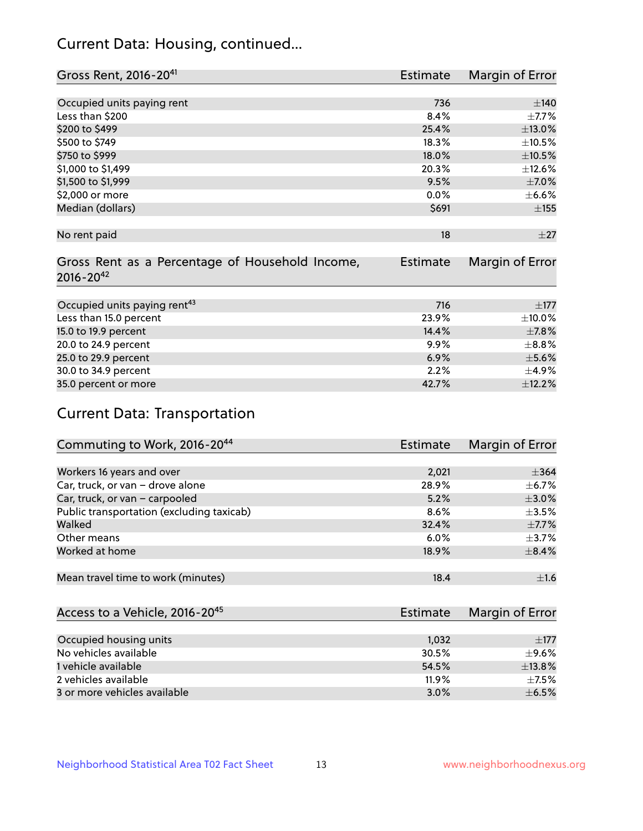# Current Data: Housing, continued...

| Gross Rent, 2016-20 <sup>41</sup>               | <b>Estimate</b> | Margin of Error |
|-------------------------------------------------|-----------------|-----------------|
|                                                 |                 |                 |
| Occupied units paying rent                      | 736             | $\pm 140$       |
| Less than \$200                                 | 8.4%            | $\pm$ 7.7%      |
| \$200 to \$499                                  | 25.4%           | $\pm$ 13.0%     |
| \$500 to \$749                                  | 18.3%           | ±10.5%          |
| \$750 to \$999                                  | 18.0%           | $\pm 10.5\%$    |
| \$1,000 to \$1,499                              | 20.3%           | ±12.6%          |
| \$1,500 to \$1,999                              | 9.5%            | $\pm$ 7.0%      |
| \$2,000 or more                                 | 0.0%            | $\pm$ 6.6%      |
| Median (dollars)                                | \$691           | ±155            |
|                                                 |                 |                 |
| No rent paid                                    | 18              | ±27             |
|                                                 |                 |                 |
| Gross Rent as a Percentage of Household Income, | <b>Estimate</b> | Margin of Error |
| $2016 - 20^{42}$                                |                 |                 |
|                                                 |                 |                 |
| Occupied units paying rent <sup>43</sup>        | 716             | $\pm 177$       |
| Less than 15.0 percent                          | 23.9%           | $\pm$ 10.0%     |
| 15.0 to 19.9 percent                            | 14.4%           | $\pm$ 7.8%      |
| 20.0 to 24.9 percent                            | $9.9\%$         | $\pm$ 8.8%      |
| 25.0 to 29.9 percent                            | 6.9%            | $\pm$ 5.6%      |
| 30.0 to 34.9 percent                            | 2.2%            | ±4.9%           |
| 35.0 percent or more                            | 42.7%           | ±12.2%          |

# Current Data: Transportation

| Commuting to Work, 2016-20 <sup>44</sup>  | <b>Estimate</b> | Margin of Error |
|-------------------------------------------|-----------------|-----------------|
|                                           |                 |                 |
| Workers 16 years and over                 | 2,021           | $\pm 364$       |
| Car, truck, or van - drove alone          | 28.9%           | $\pm$ 6.7%      |
| Car, truck, or van - carpooled            | 5.2%            | $\pm 3.0\%$     |
| Public transportation (excluding taxicab) | 8.6%            | $\pm$ 3.5%      |
| Walked                                    | 32.4%           | $\pm$ 7.7%      |
| Other means                               | $6.0\%$         | $\pm$ 3.7%      |
| Worked at home                            | 18.9%           | $\pm$ 8.4%      |
|                                           |                 |                 |
| Mean travel time to work (minutes)        | 18.4            | ±1.6            |

| Access to a Vehicle, 2016-20 <sup>45</sup> | Estimate | Margin of Error |
|--------------------------------------------|----------|-----------------|
|                                            |          |                 |
| Occupied housing units                     | 1,032    | $+177$          |
| No vehicles available                      | 30.5%    | $+9.6%$         |
| 1 vehicle available                        | 54.5%    | ±13.8%          |
| 2 vehicles available                       | 11.9%    | $+7.5%$         |
| 3 or more vehicles available               | 3.0%     | $+6.5%$         |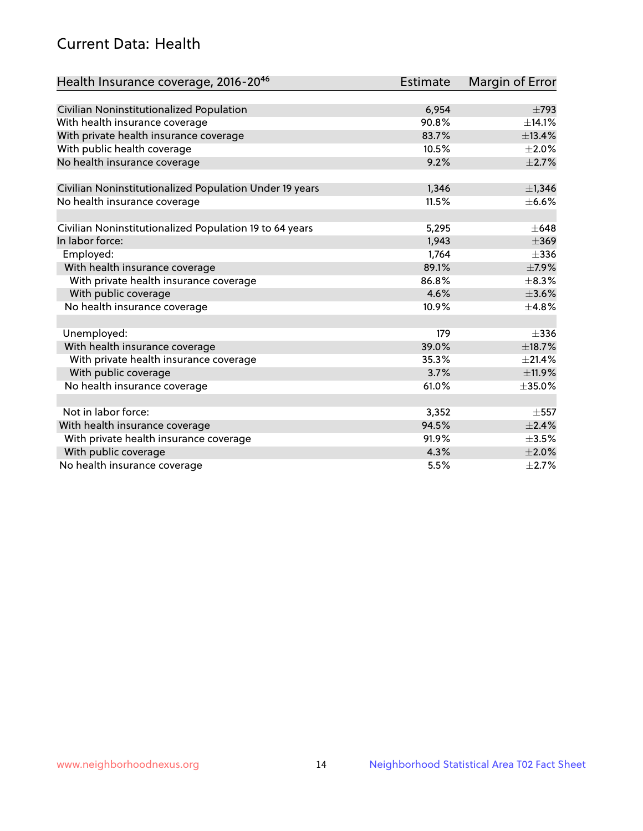# Current Data: Health

| Health Insurance coverage, 2016-2046                    | <b>Estimate</b> | Margin of Error |
|---------------------------------------------------------|-----------------|-----------------|
|                                                         |                 |                 |
| Civilian Noninstitutionalized Population                | 6,954           | $\pm 793$       |
| With health insurance coverage                          | 90.8%           | ±14.1%          |
| With private health insurance coverage                  | 83.7%           | ±13.4%          |
| With public health coverage                             | 10.5%           | $\pm 2.0\%$     |
| No health insurance coverage                            | 9.2%            | $\pm 2.7\%$     |
| Civilian Noninstitutionalized Population Under 19 years | 1,346           | $\pm$ 1,346     |
| No health insurance coverage                            | 11.5%           | $\pm$ 6.6%      |
|                                                         |                 |                 |
| Civilian Noninstitutionalized Population 19 to 64 years | 5,295           | $\pm 648$       |
| In labor force:                                         | 1,943           | $\pm$ 369       |
| Employed:                                               | 1,764           | $\pm$ 336       |
| With health insurance coverage                          | 89.1%           | $\pm$ 7.9%      |
| With private health insurance coverage                  | 86.8%           | $\pm$ 8.3%      |
| With public coverage                                    | 4.6%            | $\pm 3.6\%$     |
| No health insurance coverage                            | 10.9%           | ±4.8%           |
| Unemployed:                                             | 179             | $\pm$ 336       |
| With health insurance coverage                          | 39.0%           | ±18.7%          |
| With private health insurance coverage                  | 35.3%           | ±21.4%          |
| With public coverage                                    | 3.7%            | ±11.9%          |
| No health insurance coverage                            | 61.0%           | $\pm$ 35.0%     |
| Not in labor force:                                     |                 |                 |
|                                                         | 3,352           | $\pm$ 557       |
| With health insurance coverage                          | 94.5%           | ±2.4%           |
| With private health insurance coverage                  | 91.9%           | $\pm 3.5\%$     |
| With public coverage                                    | 4.3%            | $\pm 2.0\%$     |
| No health insurance coverage                            | 5.5%            | $\pm 2.7\%$     |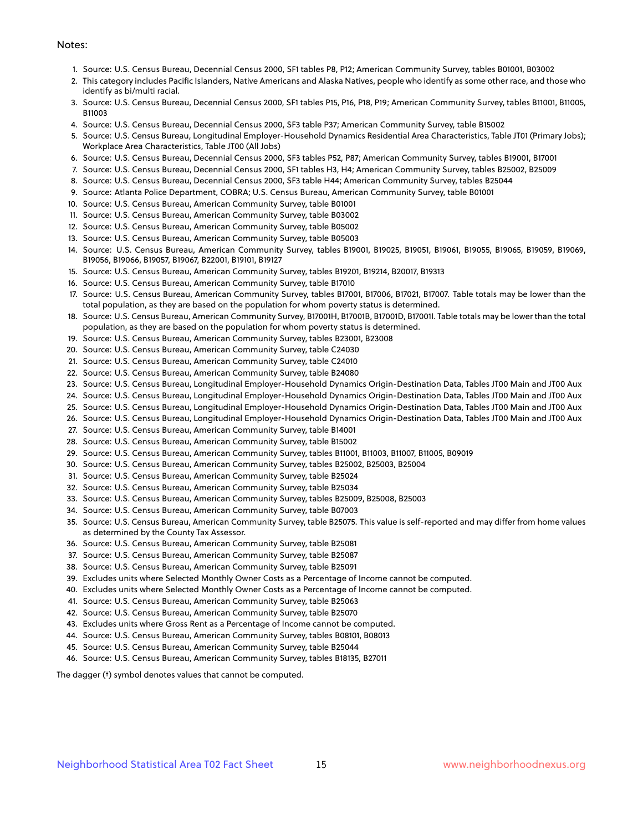#### Notes:

- 1. Source: U.S. Census Bureau, Decennial Census 2000, SF1 tables P8, P12; American Community Survey, tables B01001, B03002
- 2. This category includes Pacific Islanders, Native Americans and Alaska Natives, people who identify as some other race, and those who identify as bi/multi racial.
- 3. Source: U.S. Census Bureau, Decennial Census 2000, SF1 tables P15, P16, P18, P19; American Community Survey, tables B11001, B11005, B11003
- 4. Source: U.S. Census Bureau, Decennial Census 2000, SF3 table P37; American Community Survey, table B15002
- 5. Source: U.S. Census Bureau, Longitudinal Employer-Household Dynamics Residential Area Characteristics, Table JT01 (Primary Jobs); Workplace Area Characteristics, Table JT00 (All Jobs)
- 6. Source: U.S. Census Bureau, Decennial Census 2000, SF3 tables P52, P87; American Community Survey, tables B19001, B17001
- 7. Source: U.S. Census Bureau, Decennial Census 2000, SF1 tables H3, H4; American Community Survey, tables B25002, B25009
- 8. Source: U.S. Census Bureau, Decennial Census 2000, SF3 table H44; American Community Survey, tables B25044
- 9. Source: Atlanta Police Department, COBRA; U.S. Census Bureau, American Community Survey, table B01001
- 10. Source: U.S. Census Bureau, American Community Survey, table B01001
- 11. Source: U.S. Census Bureau, American Community Survey, table B03002
- 12. Source: U.S. Census Bureau, American Community Survey, table B05002
- 13. Source: U.S. Census Bureau, American Community Survey, table B05003
- 14. Source: U.S. Census Bureau, American Community Survey, tables B19001, B19025, B19051, B19061, B19055, B19065, B19059, B19069, B19056, B19066, B19057, B19067, B22001, B19101, B19127
- 15. Source: U.S. Census Bureau, American Community Survey, tables B19201, B19214, B20017, B19313
- 16. Source: U.S. Census Bureau, American Community Survey, table B17010
- 17. Source: U.S. Census Bureau, American Community Survey, tables B17001, B17006, B17021, B17007. Table totals may be lower than the total population, as they are based on the population for whom poverty status is determined.
- 18. Source: U.S. Census Bureau, American Community Survey, B17001H, B17001B, B17001D, B17001I. Table totals may be lower than the total population, as they are based on the population for whom poverty status is determined.
- 19. Source: U.S. Census Bureau, American Community Survey, tables B23001, B23008
- 20. Source: U.S. Census Bureau, American Community Survey, table C24030
- 21. Source: U.S. Census Bureau, American Community Survey, table C24010
- 22. Source: U.S. Census Bureau, American Community Survey, table B24080
- 23. Source: U.S. Census Bureau, Longitudinal Employer-Household Dynamics Origin-Destination Data, Tables JT00 Main and JT00 Aux
- 24. Source: U.S. Census Bureau, Longitudinal Employer-Household Dynamics Origin-Destination Data, Tables JT00 Main and JT00 Aux
- 25. Source: U.S. Census Bureau, Longitudinal Employer-Household Dynamics Origin-Destination Data, Tables JT00 Main and JT00 Aux
- 26. Source: U.S. Census Bureau, Longitudinal Employer-Household Dynamics Origin-Destination Data, Tables JT00 Main and JT00 Aux
- 27. Source: U.S. Census Bureau, American Community Survey, table B14001
- 28. Source: U.S. Census Bureau, American Community Survey, table B15002
- 29. Source: U.S. Census Bureau, American Community Survey, tables B11001, B11003, B11007, B11005, B09019
- 30. Source: U.S. Census Bureau, American Community Survey, tables B25002, B25003, B25004
- 31. Source: U.S. Census Bureau, American Community Survey, table B25024
- 32. Source: U.S. Census Bureau, American Community Survey, table B25034
- 33. Source: U.S. Census Bureau, American Community Survey, tables B25009, B25008, B25003
- 34. Source: U.S. Census Bureau, American Community Survey, table B07003
- 35. Source: U.S. Census Bureau, American Community Survey, table B25075. This value is self-reported and may differ from home values as determined by the County Tax Assessor.
- 36. Source: U.S. Census Bureau, American Community Survey, table B25081
- 37. Source: U.S. Census Bureau, American Community Survey, table B25087
- 38. Source: U.S. Census Bureau, American Community Survey, table B25091
- 39. Excludes units where Selected Monthly Owner Costs as a Percentage of Income cannot be computed.
- 40. Excludes units where Selected Monthly Owner Costs as a Percentage of Income cannot be computed.
- 41. Source: U.S. Census Bureau, American Community Survey, table B25063
- 42. Source: U.S. Census Bureau, American Community Survey, table B25070
- 43. Excludes units where Gross Rent as a Percentage of Income cannot be computed.
- 44. Source: U.S. Census Bureau, American Community Survey, tables B08101, B08013
- 45. Source: U.S. Census Bureau, American Community Survey, table B25044
- 46. Source: U.S. Census Bureau, American Community Survey, tables B18135, B27011

The dagger (†) symbol denotes values that cannot be computed.